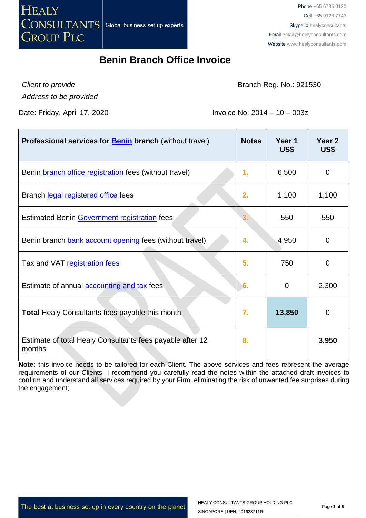

*Client to provide*

Branch Reg. No.: 921530

*Address to be provided*

Date: Friday, April 17, 2020 **Invoice No: 2014 – 10 – 003z** 

| <b>Professional services for <b>Benin</b> branch (without travel)</b> | <b>Notes</b> | Year 1<br>US\$ | Year <sub>2</sub><br>US\$ |
|-----------------------------------------------------------------------|--------------|----------------|---------------------------|
| Benin branch office registration fees (without travel)                | 1.           | 6,500          | 0                         |
| Branch legal registered office fees                                   | 2.           | 1,100          | 1,100                     |
| Estimated Benin Government registration fees                          |              | 550            | 550                       |
| Benin branch bank account opening fees (without travel)               | 4.           | 4,950          | $\mathbf 0$               |
| Tax and VAT registration fees                                         | 5.           | 750            | $\mathbf 0$               |
| Estimate of annual <b>accounting and tax</b> fees                     | 6.           | $\mathbf 0$    | 2,300                     |
| <b>Total Healy Consultants fees payable this month</b>                | 7.           | 13,850         | 0                         |
| Estimate of total Healy Consultants fees payable after 12<br>months   | 8.           |                | 3,950                     |

**Note:** this invoice needs to be tailored for each Client. The above services and fees represent the average requirements of our Clients. I recommend you carefully read the notes within the attached draft invoices to confirm and understand all services required by your Firm, eliminating the risk of unwanted fee surprises during the engagement;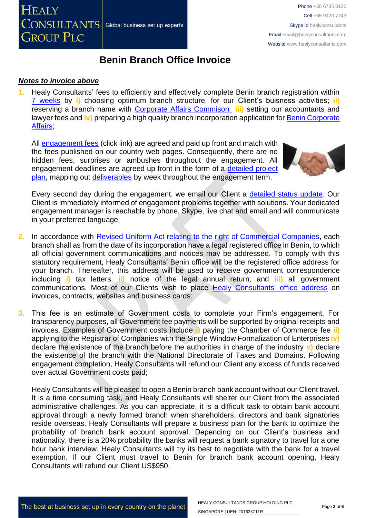#### *Notes to invoice above*

**1.** Healy Consultants' fees to efficiently and effectively complete Benin branch registration within [7 weeks](http://www.healyconsultants.com/benin-company-registration/fees-timelines/#timelines) by **i)** choosing optimum branch structure, for our Client's buisness activities; **ii)** reserving a branch name with [Corporate Affairs Commison](http://new.cac.gov.ng/home/state-offices/) **iii)** setting our accountants and lawyer fees and **iv)** preparing a high quality branch incorporation application for [Benin Corporate](http://new.cac.gov.ng/home/state-offices/)  [Affairs;](http://new.cac.gov.ng/home/state-offices/)

All [engagement fees](http://www.healyconsultants.com/company-registration-fees/) (click link) are agreed and paid up front and match with the fees published on our country web pages. Consequently, there are no hidden fees, surprises or ambushes throughout the engagement. All engagement deadlines are agreed up front in the form of a detailed project [plan,](http://www.healyconsultants.com/index-important-links/example-project-plan/) mapping out [deliverables](http://www.healyconsultants.com/deliverables-to-our-clients/) by week throughout the engagement term.



Every second day during the engagement, we email our Client a [detailed status update.](http://www.healyconsultants.com/index-important-links/weekly-engagement-status-email/) Our Client is immediately informed of engagement problems together with solutions. Your dedicated engagement manager is reachable by phone, Skype, live chat and email and will communicate in your preferred language;

- **2.** In accordance with [Revised Uniform Act relating to the right of Commercial Companies,](http://www.ohada.com/actes-uniformes/1299/1300/preambule.html) each branch shall as from the date of its incorporation have a legal registered office in Benin, to which all official government communications and notices may be addressed. To comply with this statutory requirement, Healy Consultants' Benin office will be the registered office address for your branch. Thereafter, this address will be used to receive government correspondence including **i)** tax letters, **ii)** notice of the legal annual return; and **iii)** all government communications. Most of our Clients wish to place [Healy Consultants'](http://www.healyconsultants.com/corporate-outsourcing-services/company-secretary-and-legal-registered-office/) office address on invoices, contracts, websites and business cards;
- **3.** This fee is an estimate of Government costs to complete your Firm's engagement. For transparency purposes, all Government fee payments will be supported by original receipts and invoices. Examples of Government costs include **i)** paying the Chamber of Commerce fee **ii)** applying to the Registrar of Companies with the Single Window Formalization of Enterprises **iv)** declare the existence of the branch before the authorities in charge of the industry **v)** declare the existence of the branch with the National Directorate of Taxes and Domains. Following engagement completion, Healy Consultants will refund our Client any excess of funds received over actual Government costs paid;

Healy Consultants will be pleased to open a Benin branch bank account without our Client travel. It is a time consuming task, and Healy Consultants will shelter our Client from the associated administrative challenges. As you can appreciate, it is a difficult task to obtain bank account approval through a newly formed branch when shareholders, directors and bank signatories reside overseas. Healy Consultants will prepare a business plan for the bank to optimize the probability of branch bank account approval. Depending on our Client's business and nationality, there is a 20% probability the banks will request a bank signatory to travel for a one hour bank interview. Healy Consultants will try its best to negotiate with the bank for a travel exemption. If our Client must travel to Benin for branch bank account opening, Healy Consultants will refund our Client US\$950;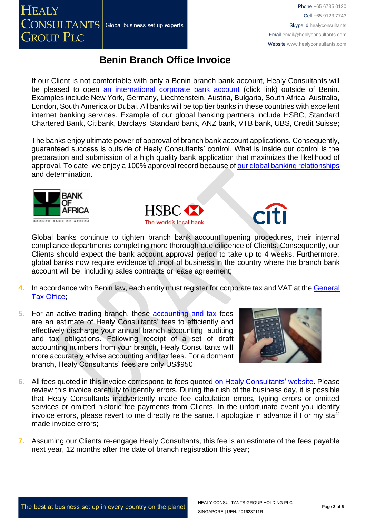If our Client is not comfortable with only a Benin branch bank account, Healy Consultants will be pleased to open [an international corporate bank account](http://www.healyconsultants.com/international-banking/) (click link) outside of Benin. Examples include New York, Germany, Liechtenstein, Austria, Bulgaria, South Africa, Australia, London, South America or Dubai. All banks will be top tier banks in these countries with excellent internet banking services. Example of our global banking partners include HSBC, Standard Chartered Bank, Citibank, Barclays, Standard bank, ANZ bank, VTB bank, UBS, Credit Suisse;

The banks enjoy ultimate power of approval of branch bank account applications. Consequently, guaranteed success is outside of Healy Consultants' control. What is inside our control is the preparation and submission of a high quality bank application that maximizes the likelihood of approval. To date, we enjoy a 100% approval record because of [our global banking relationships](http://www.healyconsultants.com/international-banking/corporate-accounts/) and determination.





Global banks continue to tighten branch bank account opening procedures, their internal compliance departments completing more thorough due diligence of Clients. Consequently, our Clients should expect the bank account approval period to take up to 4 weeks. Furthermore, global banks now require evidence of proof of business in the country where the branch bank account will be, including sales contracts or lease agreement;

- **4.** In accordance with Benin law, each entity must register for corporate tax and VAT at the [General](http://www.impots.finances.gouv.bj/accueil/)  [Tax Office;](http://www.impots.finances.gouv.bj/accueil/)
- **5.** For an active trading branch, these [accounting and tax](http://www.healyconsultants.com/benin-company-registration/accounting-legal/) fees are an estimate of Healy Consultants' fees to efficiently and effectively discharge your annual branch accounting, auditing and tax obligations. Following receipt of a set of draft accounting numbers from your branch, Healy Consultants will more accurately advise accounting and tax fees. For a dormant branch, Healy Consultants' fees are only US\$950;



- **6.** All fees quoted in this invoice correspond to fees quoted [on Healy Consultants' website.](http://www.healyconsultants.com/company-registration-fees/) Please review this invoice carefully to identify errors. During the rush of the business day, it is possible that Healy Consultants inadvertently made fee calculation errors, typing errors or omitted services or omitted historic fee payments from Clients. In the unfortunate event you identify invoice errors, please revert to me directly re the same. I apologize in advance if I or my staff made invoice errors;
- **7.** Assuming our Clients re-engage Healy Consultants, this fee is an estimate of the fees payable next year, 12 months after the date of branch registration this year;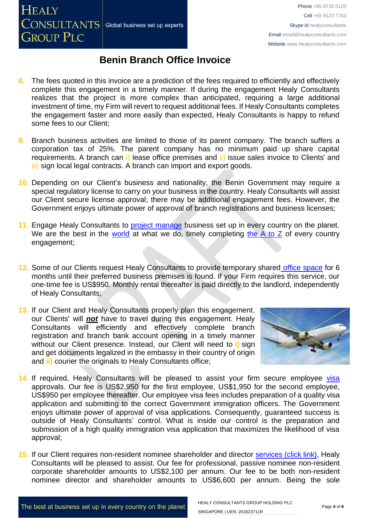

- **8.** The fees quoted in this invoice are a prediction of the fees required to efficiently and effectively complete this engagement in a timely manner. If during the engagement Healy Consultants realizes that the project is more complex than anticipated, requiring a large additional investment of time, my Firm will revert to request additional fees. If Healy Consultants completes the engagement faster and more easily than expected, Healy Consultants is happy to refund some fees to our Client;
- **9.** Branch business activities are limited to those of its parent company. The branch suffers a corporation tax of 25%. The parent company has no minimum paid up share capital requirements. A branch can i) lease office premises and ii) issue sales invoice to Clients' and iii) sign local legal contracts. A branch can import and export goods.
- **10.** Depending on our Client's business and nationality, the Benin Government may require a special regulatory license to carry on your business in the country. Healy Consultants will assist our Client secure license approval; there may be additional engagement fees. However, the Government enjoys ultimate power of approval of branch registrations and business licenses;
- 11. Engage Healy Consultants to [project manage](http://www.healyconsultants.com/project-manage-engagements/) business set up in every country on the planet. We are the best in the [world](http://www.healyconsultants.com/best-in-the-world/) at what we do, timely completing the  $A$  to  $Z$  of every country engagement;
- **12.** Some of our Clients request Healy Consultants to provide temporary shared [office space](http://www.healyconsultants.com/virtual-office/) for 6 months until their preferred business premises is found. If your Firm requires this service, our one-time fee is US\$950. Monthly rental thereafter is paid directly to the landlord, independently of Healy Consultants;
- **13.** If our Client and Healy Consultants properly plan this engagement, our Clients' will *not* have to travel during this engagement. Healy Consultants will efficiently and effectively complete branch registration and branch bank account opening in a timely manner without our Client presence. Instead, our Client will need to **i)** sign and get documents legalized in the embassy in their country of origin and **ii)** courier the originals to Healy Consultants office;



- 14. If required, Healy Consultants will be pleased to assist your firm secure employee visa approvals. Our fee is US\$2,950 for the first employee, US\$1,950 for the second employee, US\$950 per employee thereafter. Our employee visa fees includes preparation of a quality visa application and submitting to the correct Government immigration officers. The Government enjoys ultimate power of approval of visa applications. Consequently, guaranteed success is outside of Healy Consultants' control. What is inside our control is the preparation and submission of a high quality immigration visa application that maximizes the likelihood of visa approval;
- **15.** If our Client requires non-resident nominee shareholder and director services [\(click link\),](http://www.healyconsultants.com/corporate-outsourcing-services/nominee-shareholders-directors/) Healy Consultants will be pleased to assist. Our fee for professional, passive nominee non-resident corporate shareholder amounts to US\$2,100 per annum. Our fee to be both non-resident nominee director and shareholder amounts to US\$6,600 per annum. Being the sole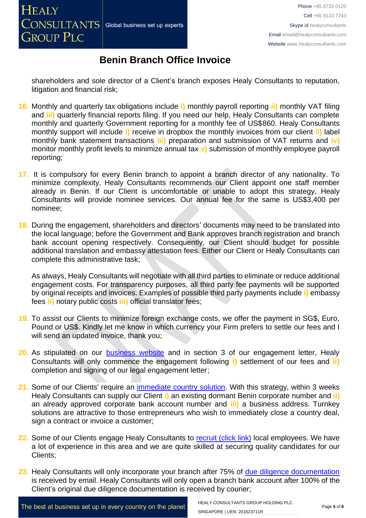shareholders and sole director of a Client's branch exposes Healy Consultants to reputation, litigation and financial risk;

- **16.** Monthly and quarterly tax obligations include **i)** monthly payroll reporting **ii)** monthly VAT filing and **iii)** quarterly financial reports filing. If you need our help, Healy Consultants can complete monthly and quarterly Government reporting for a monthly fee of US\$860. Healy Consultants monthly support will include **i)** receive in dropbox the monthly invoices from our client **ii)** label monthly bank statement transactions **iii)** preparation and submission of VAT returns and **iv)** monitor monthly profit levels to minimize annual tax **v)** submission of monthly employee payroll reporting;
- **17.** It is compulsory for every Benin branch to appoint a branch director of any nationality. To minimize complexity, Healy Consultants recommends our Client appoint one staff member already in Benin. If our Client is uncomfortable or unable to adopt this strategy, Healy Consultants will provide nominee services. Our annual fee for the same is US\$3,400 per nominee;
- **18.** During the engagement, shareholders and directors' documents may need to be translated into the local language; before the Government and Bank approves branch registration and branch bank account opening respectively. Consequently, our Client should budget for possible additional translation and embassy attestation fees. Either our Client or Healy Consultants can complete this administrative task;

As always, Healy Consultants will negotiate with all third parties to eliminate or reduce additional engagement costs. For transparency purposes, all third party fee payments will be supported by original receipts and invoices. Examples of possible third party payments include **i)** embassy fees **ii)** notary public costs **iii)** official translator fees;

- **19.** To assist our Clients to minimize foreign exchange costs, we offer the payment in SG\$, Euro, Pound or US\$. Kindly let me know in which currency your Firm prefers to settle our fees and I will send an updated invoice, thank you;
- **20.** As stipulated on our **[business website](http://www.healyconsultants.com/)** and in section 3 of our engagement letter, Healy Consultants will only commence the engagement following **i)** settlement of our fees and **ii)** completion and signing of our legal engagement letter;
- 21. Some of our Clients' require an *immediate country solution*. With this strategy, within 3 weeks Healy Consultants can supply our Client **i)** an existing dormant Benin corporate number and **ii)** an already approved corporate bank account number and **iii)** a business address. Turnkey solutions are attractive to those entrepreneurs who wish to immediately close a country deal, sign a contract or invoice a customer:
- 22. Some of our Clients engage Healy Consultants to [recruit \(click link\)](http://www.healyconsultants.com/corporate-outsourcing-services/how-we-help-our-clients-recruit-quality-employees/) local employees. We have a lot of experience in this area and we are quite skilled at securing quality candidates for our Clients;
- 23. Healy Consultants will only incorporate your branch after 75% of [due diligence documentation](http://www.healyconsultants.com/due-diligence/) is received by email. Healy Consultants will only open a branch bank account after 100% of the Client's original due diligence documentation is received by courier;